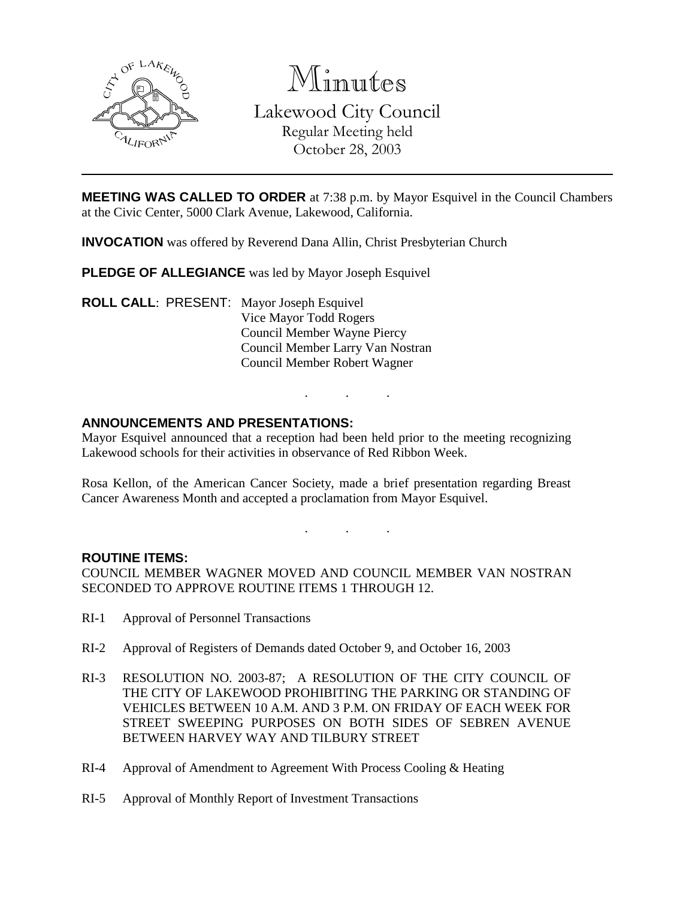

Minutes Lakewood City Council Regular Meeting held October 28, 2003

**MEETING WAS CALLED TO ORDER** at 7:38 p.m. by Mayor Esquivel in the Council Chambers at the Civic Center, 5000 Clark Avenue, Lakewood, California.

**INVOCATION** was offered by Reverend Dana Allin, Christ Presbyterian Church

**PLEDGE OF ALLEGIANCE** was led by Mayor Joseph Esquivel

**ROLL CALL**: PRESENT: Mayor Joseph Esquivel Vice Mayor Todd Rogers Council Member Wayne Piercy Council Member Larry Van Nostran Council Member Robert Wagner

## **ANNOUNCEMENTS AND PRESENTATIONS:**

Mayor Esquivel announced that a reception had been held prior to the meeting recognizing Lakewood schools for their activities in observance of Red Ribbon Week.

. . .

Rosa Kellon, of the American Cancer Society, made a brief presentation regarding Breast Cancer Awareness Month and accepted a proclamation from Mayor Esquivel.

. . .

#### **ROUTINE ITEMS:**

COUNCIL MEMBER WAGNER MOVED AND COUNCIL MEMBER VAN NOSTRAN SECONDED TO APPROVE ROUTINE ITEMS 1 THROUGH 12.

- RI-1 Approval of Personnel Transactions
- RI-2 Approval of Registers of Demands dated October 9, and October 16, 2003
- RI-3 RESOLUTION NO. 2003-87; A RESOLUTION OF THE CITY COUNCIL OF THE CITY OF LAKEWOOD PROHIBITING THE PARKING OR STANDING OF VEHICLES BETWEEN 10 A.M. AND 3 P.M. ON FRIDAY OF EACH WEEK FOR STREET SWEEPING PURPOSES ON BOTH SIDES OF SEBREN AVENUE BETWEEN HARVEY WAY AND TILBURY STREET
- RI-4 Approval of Amendment to Agreement With Process Cooling & Heating
- RI-5 Approval of Monthly Report of Investment Transactions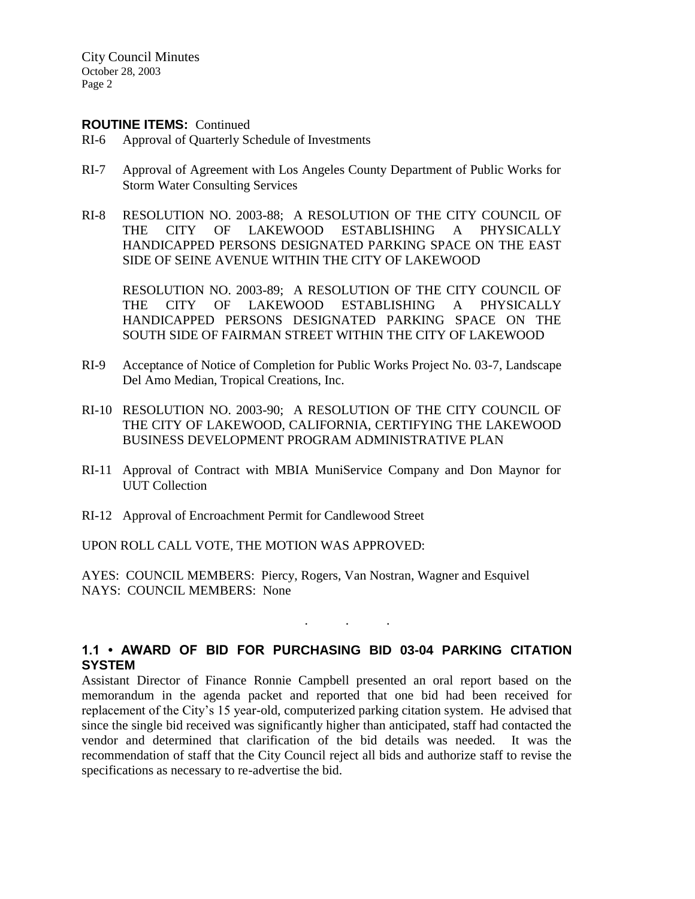City Council Minutes October 28, 2003 Page 2

#### **ROUTINE ITEMS:** Continued

- RI-6 Approval of Quarterly Schedule of Investments
- RI-7 Approval of Agreement with Los Angeles County Department of Public Works for Storm Water Consulting Services
- RI-8 RESOLUTION NO. 2003-88; A RESOLUTION OF THE CITY COUNCIL OF THE CITY OF LAKEWOOD ESTABLISHING A PHYSICALLY HANDICAPPED PERSONS DESIGNATED PARKING SPACE ON THE EAST SIDE OF SEINE AVENUE WITHIN THE CITY OF LAKEWOOD

RESOLUTION NO. 2003-89; A RESOLUTION OF THE CITY COUNCIL OF THE CITY OF LAKEWOOD ESTABLISHING A PHYSICALLY HANDICAPPED PERSONS DESIGNATED PARKING SPACE ON THE SOUTH SIDE OF FAIRMAN STREET WITHIN THE CITY OF LAKEWOOD

- RI-9 Acceptance of Notice of Completion for Public Works Project No. 03-7, Landscape Del Amo Median, Tropical Creations, Inc.
- RI-10 RESOLUTION NO. 2003-90; A RESOLUTION OF THE CITY COUNCIL OF THE CITY OF LAKEWOOD, CALIFORNIA, CERTIFYING THE LAKEWOOD BUSINESS DEVELOPMENT PROGRAM ADMINISTRATIVE PLAN
- RI-11 Approval of Contract with MBIA MuniService Company and Don Maynor for UUT Collection
- RI-12 Approval of Encroachment Permit for Candlewood Street

UPON ROLL CALL VOTE, THE MOTION WAS APPROVED:

AYES: COUNCIL MEMBERS: Piercy, Rogers, Van Nostran, Wagner and Esquivel NAYS: COUNCIL MEMBERS: None

## **1.1 • AWARD OF BID FOR PURCHASING BID 03-04 PARKING CITATION SYSTEM**

. . .

Assistant Director of Finance Ronnie Campbell presented an oral report based on the memorandum in the agenda packet and reported that one bid had been received for replacement of the City's 15 year-old, computerized parking citation system. He advised that since the single bid received was significantly higher than anticipated, staff had contacted the vendor and determined that clarification of the bid details was needed. It was the recommendation of staff that the City Council reject all bids and authorize staff to revise the specifications as necessary to re-advertise the bid.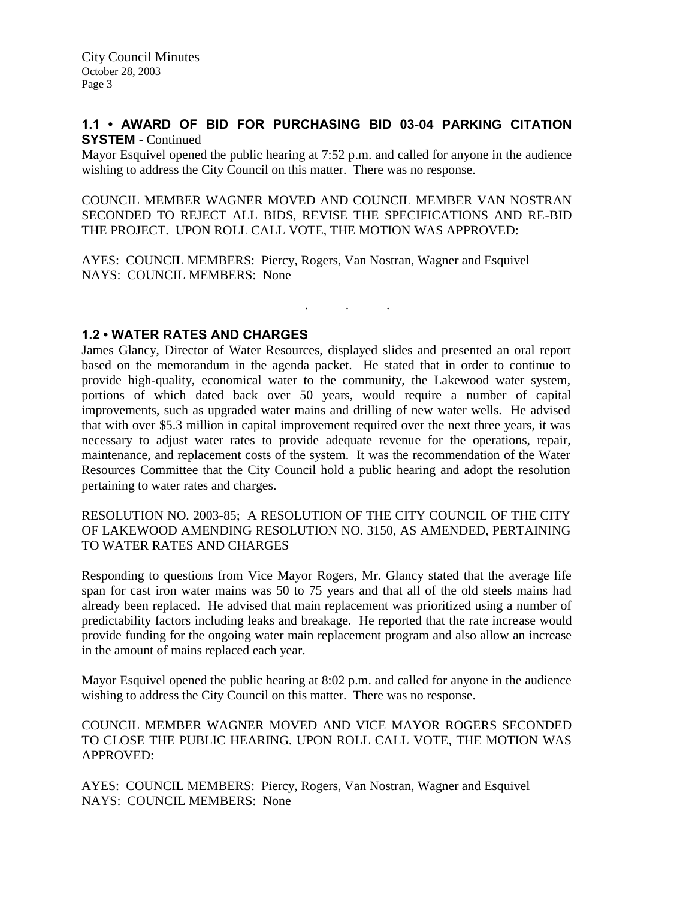## **1.1 • AWARD OF BID FOR PURCHASING BID 03-04 PARKING CITATION SYSTEM** - Continued

Mayor Esquivel opened the public hearing at 7:52 p.m. and called for anyone in the audience wishing to address the City Council on this matter. There was no response.

COUNCIL MEMBER WAGNER MOVED AND COUNCIL MEMBER VAN NOSTRAN SECONDED TO REJECT ALL BIDS, REVISE THE SPECIFICATIONS AND RE-BID THE PROJECT. UPON ROLL CALL VOTE, THE MOTION WAS APPROVED:

AYES: COUNCIL MEMBERS: Piercy, Rogers, Van Nostran, Wagner and Esquivel NAYS: COUNCIL MEMBERS: None

. . .

## **1.2 • WATER RATES AND CHARGES**

James Glancy, Director of Water Resources, displayed slides and presented an oral report based on the memorandum in the agenda packet. He stated that in order to continue to provide high-quality, economical water to the community, the Lakewood water system, portions of which dated back over 50 years, would require a number of capital improvements, such as upgraded water mains and drilling of new water wells. He advised that with over \$5.3 million in capital improvement required over the next three years, it was necessary to adjust water rates to provide adequate revenue for the operations, repair, maintenance, and replacement costs of the system. It was the recommendation of the Water Resources Committee that the City Council hold a public hearing and adopt the resolution pertaining to water rates and charges.

RESOLUTION NO. 2003-85; A RESOLUTION OF THE CITY COUNCIL OF THE CITY OF LAKEWOOD AMENDING RESOLUTION NO. 3150, AS AMENDED, PERTAINING TO WATER RATES AND CHARGES

Responding to questions from Vice Mayor Rogers, Mr. Glancy stated that the average life span for cast iron water mains was 50 to 75 years and that all of the old steels mains had already been replaced. He advised that main replacement was prioritized using a number of predictability factors including leaks and breakage. He reported that the rate increase would provide funding for the ongoing water main replacement program and also allow an increase in the amount of mains replaced each year.

Mayor Esquivel opened the public hearing at 8:02 p.m. and called for anyone in the audience wishing to address the City Council on this matter. There was no response.

COUNCIL MEMBER WAGNER MOVED AND VICE MAYOR ROGERS SECONDED TO CLOSE THE PUBLIC HEARING. UPON ROLL CALL VOTE, THE MOTION WAS APPROVED:

AYES: COUNCIL MEMBERS: Piercy, Rogers, Van Nostran, Wagner and Esquivel NAYS: COUNCIL MEMBERS: None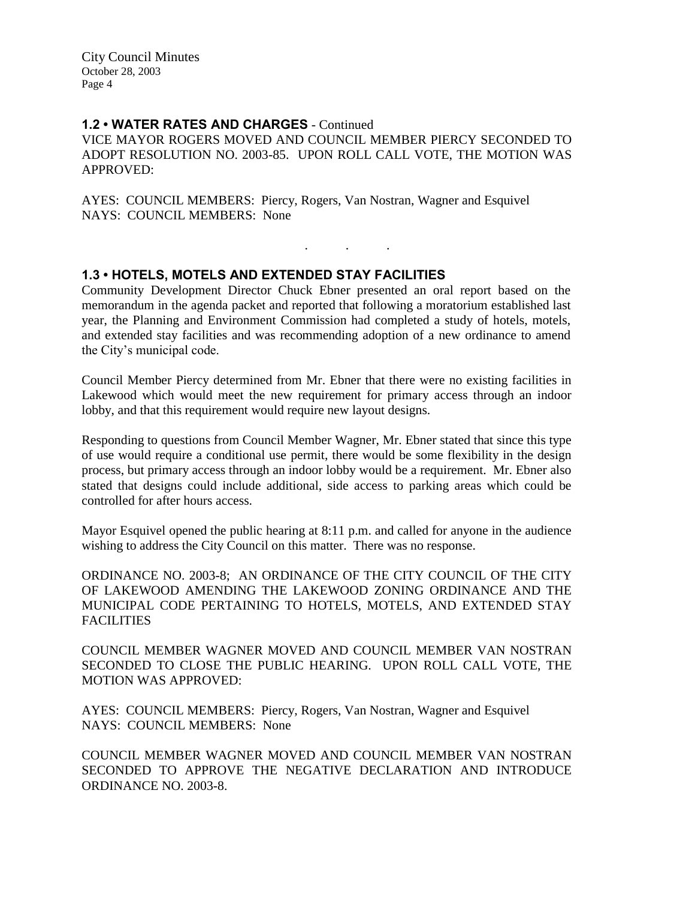City Council Minutes October 28, 2003 Page 4

#### **1.2 • WATER RATES AND CHARGES** - Continued

VICE MAYOR ROGERS MOVED AND COUNCIL MEMBER PIERCY SECONDED TO ADOPT RESOLUTION NO. 2003-85. UPON ROLL CALL VOTE, THE MOTION WAS APPROVED:

AYES: COUNCIL MEMBERS: Piercy, Rogers, Van Nostran, Wagner and Esquivel NAYS: COUNCIL MEMBERS: None

## **1.3 • HOTELS, MOTELS AND EXTENDED STAY FACILITIES**

Community Development Director Chuck Ebner presented an oral report based on the memorandum in the agenda packet and reported that following a moratorium established last year, the Planning and Environment Commission had completed a study of hotels, motels, and extended stay facilities and was recommending adoption of a new ordinance to amend the City's municipal code.

. . .

Council Member Piercy determined from Mr. Ebner that there were no existing facilities in Lakewood which would meet the new requirement for primary access through an indoor lobby, and that this requirement would require new layout designs.

Responding to questions from Council Member Wagner, Mr. Ebner stated that since this type of use would require a conditional use permit, there would be some flexibility in the design process, but primary access through an indoor lobby would be a requirement. Mr. Ebner also stated that designs could include additional, side access to parking areas which could be controlled for after hours access.

Mayor Esquivel opened the public hearing at 8:11 p.m. and called for anyone in the audience wishing to address the City Council on this matter. There was no response.

ORDINANCE NO. 2003-8; AN ORDINANCE OF THE CITY COUNCIL OF THE CITY OF LAKEWOOD AMENDING THE LAKEWOOD ZONING ORDINANCE AND THE MUNICIPAL CODE PERTAINING TO HOTELS, MOTELS, AND EXTENDED STAY FACILITIES

COUNCIL MEMBER WAGNER MOVED AND COUNCIL MEMBER VAN NOSTRAN SECONDED TO CLOSE THE PUBLIC HEARING. UPON ROLL CALL VOTE, THE MOTION WAS APPROVED:

AYES: COUNCIL MEMBERS: Piercy, Rogers, Van Nostran, Wagner and Esquivel NAYS: COUNCIL MEMBERS: None

COUNCIL MEMBER WAGNER MOVED AND COUNCIL MEMBER VAN NOSTRAN SECONDED TO APPROVE THE NEGATIVE DECLARATION AND INTRODUCE ORDINANCE NO. 2003-8.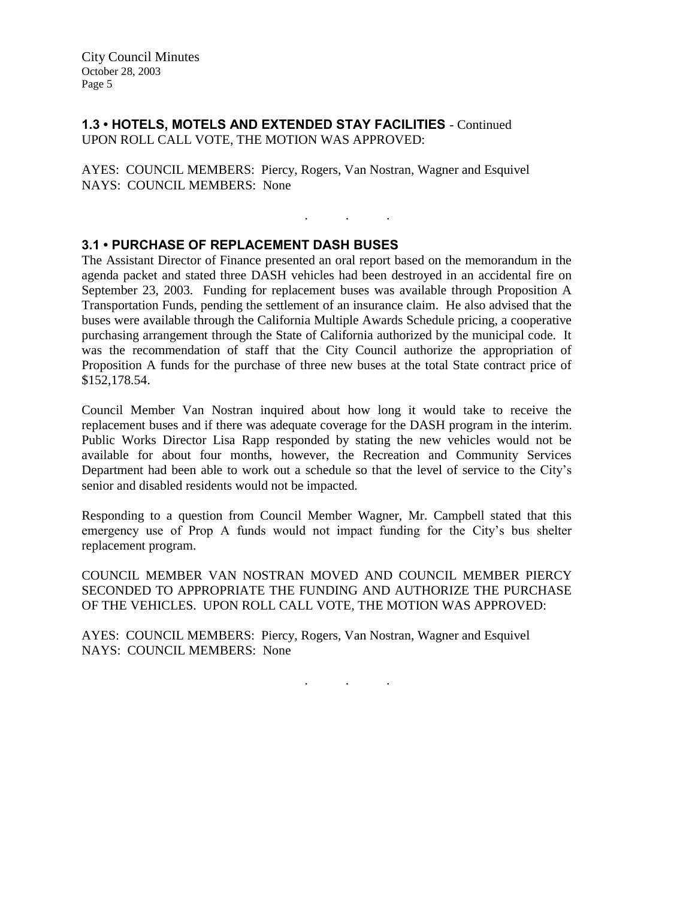## **1.3 • HOTELS, MOTELS AND EXTENDED STAY FACILITIES** - Continued UPON ROLL CALL VOTE, THE MOTION WAS APPROVED:

AYES: COUNCIL MEMBERS: Piercy, Rogers, Van Nostran, Wagner and Esquivel NAYS: COUNCIL MEMBERS: None

## **3.1 • PURCHASE OF REPLACEMENT DASH BUSES**

The Assistant Director of Finance presented an oral report based on the memorandum in the agenda packet and stated three DASH vehicles had been destroyed in an accidental fire on September 23, 2003. Funding for replacement buses was available through Proposition A Transportation Funds, pending the settlement of an insurance claim. He also advised that the buses were available through the California Multiple Awards Schedule pricing, a cooperative purchasing arrangement through the State of California authorized by the municipal code. It was the recommendation of staff that the City Council authorize the appropriation of Proposition A funds for the purchase of three new buses at the total State contract price of \$152,178.54.

. . .

Council Member Van Nostran inquired about how long it would take to receive the replacement buses and if there was adequate coverage for the DASH program in the interim. Public Works Director Lisa Rapp responded by stating the new vehicles would not be available for about four months, however, the Recreation and Community Services Department had been able to work out a schedule so that the level of service to the City's senior and disabled residents would not be impacted.

Responding to a question from Council Member Wagner, Mr. Campbell stated that this emergency use of Prop A funds would not impact funding for the City's bus shelter replacement program.

COUNCIL MEMBER VAN NOSTRAN MOVED AND COUNCIL MEMBER PIERCY SECONDED TO APPROPRIATE THE FUNDING AND AUTHORIZE THE PURCHASE OF THE VEHICLES. UPON ROLL CALL VOTE, THE MOTION WAS APPROVED:

AYES: COUNCIL MEMBERS: Piercy, Rogers, Van Nostran, Wagner and Esquivel NAYS: COUNCIL MEMBERS: None

. . .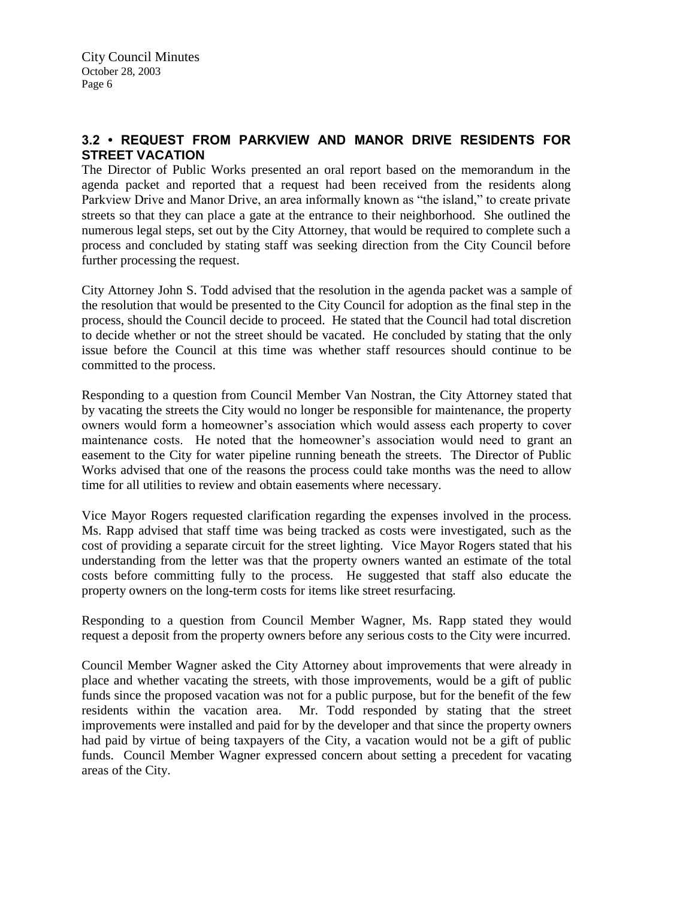# **3.2 • REQUEST FROM PARKVIEW AND MANOR DRIVE RESIDENTS FOR STREET VACATION**

The Director of Public Works presented an oral report based on the memorandum in the agenda packet and reported that a request had been received from the residents along Parkview Drive and Manor Drive, an area informally known as "the island," to create private streets so that they can place a gate at the entrance to their neighborhood. She outlined the numerous legal steps, set out by the City Attorney, that would be required to complete such a process and concluded by stating staff was seeking direction from the City Council before further processing the request.

City Attorney John S. Todd advised that the resolution in the agenda packet was a sample of the resolution that would be presented to the City Council for adoption as the final step in the process, should the Council decide to proceed. He stated that the Council had total discretion to decide whether or not the street should be vacated. He concluded by stating that the only issue before the Council at this time was whether staff resources should continue to be committed to the process.

Responding to a question from Council Member Van Nostran, the City Attorney stated that by vacating the streets the City would no longer be responsible for maintenance, the property owners would form a homeowner's association which would assess each property to cover maintenance costs. He noted that the homeowner's association would need to grant an easement to the City for water pipeline running beneath the streets. The Director of Public Works advised that one of the reasons the process could take months was the need to allow time for all utilities to review and obtain easements where necessary.

Vice Mayor Rogers requested clarification regarding the expenses involved in the process. Ms. Rapp advised that staff time was being tracked as costs were investigated, such as the cost of providing a separate circuit for the street lighting. Vice Mayor Rogers stated that his understanding from the letter was that the property owners wanted an estimate of the total costs before committing fully to the process. He suggested that staff also educate the property owners on the long-term costs for items like street resurfacing.

Responding to a question from Council Member Wagner, Ms. Rapp stated they would request a deposit from the property owners before any serious costs to the City were incurred.

Council Member Wagner asked the City Attorney about improvements that were already in place and whether vacating the streets, with those improvements, would be a gift of public funds since the proposed vacation was not for a public purpose, but for the benefit of the few residents within the vacation area. Mr. Todd responded by stating that the street improvements were installed and paid for by the developer and that since the property owners had paid by virtue of being taxpayers of the City, a vacation would not be a gift of public funds. Council Member Wagner expressed concern about setting a precedent for vacating areas of the City.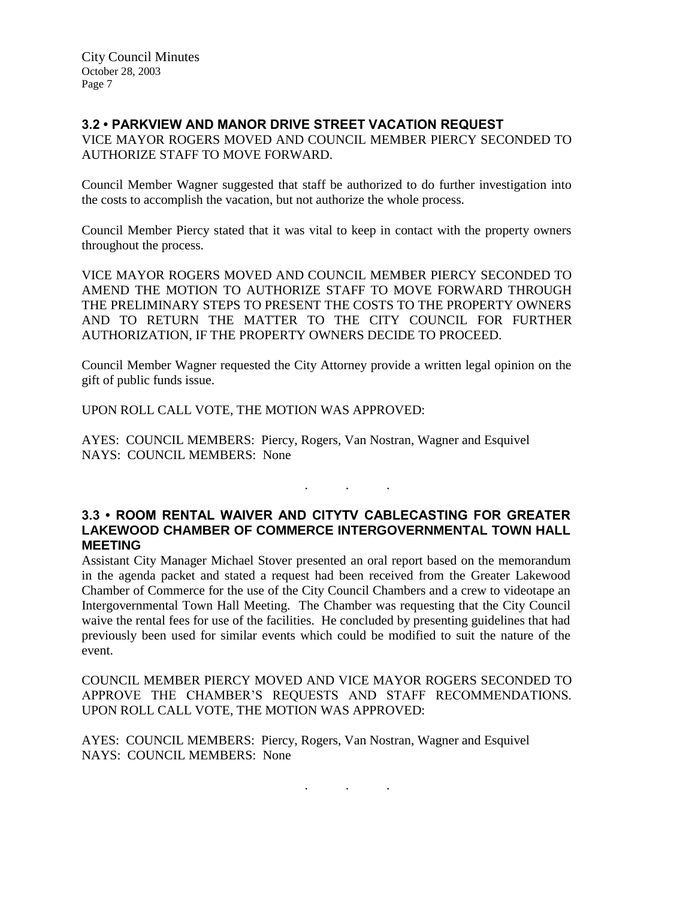# **3.2 • PARKVIEW AND MANOR DRIVE STREET VACATION REQUEST**

VICE MAYOR ROGERS MOVED AND COUNCIL MEMBER PIERCY SECONDED TO AUTHORIZE STAFF TO MOVE FORWARD.

Council Member Wagner suggested that staff be authorized to do further investigation into the costs to accomplish the vacation, but not authorize the whole process.

Council Member Piercy stated that it was vital to keep in contact with the property owners throughout the process.

VICE MAYOR ROGERS MOVED AND COUNCIL MEMBER PIERCY SECONDED TO AMEND THE MOTION TO AUTHORIZE STAFF TO MOVE FORWARD THROUGH THE PRELIMINARY STEPS TO PRESENT THE COSTS TO THE PROPERTY OWNERS AND TO RETURN THE MATTER TO THE CITY COUNCIL FOR FURTHER AUTHORIZATION, IF THE PROPERTY OWNERS DECIDE TO PROCEED.

Council Member Wagner requested the City Attorney provide a written legal opinion on the gift of public funds issue.

UPON ROLL CALL VOTE, THE MOTION WAS APPROVED:

AYES: COUNCIL MEMBERS: Piercy, Rogers, Van Nostran, Wagner and Esquivel NAYS: COUNCIL MEMBERS: None

## **3.3 • ROOM RENTAL WAIVER AND CITYTV CABLECASTING FOR GREATER LAKEWOOD CHAMBER OF COMMERCE INTERGOVERNMENTAL TOWN HALL MEETING**

. . .

Assistant City Manager Michael Stover presented an oral report based on the memorandum in the agenda packet and stated a request had been received from the Greater Lakewood Chamber of Commerce for the use of the City Council Chambers and a crew to videotape an Intergovernmental Town Hall Meeting. The Chamber was requesting that the City Council waive the rental fees for use of the facilities. He concluded by presenting guidelines that had previously been used for similar events which could be modified to suit the nature of the event.

COUNCIL MEMBER PIERCY MOVED AND VICE MAYOR ROGERS SECONDED TO APPROVE THE CHAMBER'S REQUESTS AND STAFF RECOMMENDATIONS. UPON ROLL CALL VOTE, THE MOTION WAS APPROVED:

. . .

AYES: COUNCIL MEMBERS: Piercy, Rogers, Van Nostran, Wagner and Esquivel NAYS: COUNCIL MEMBERS: None